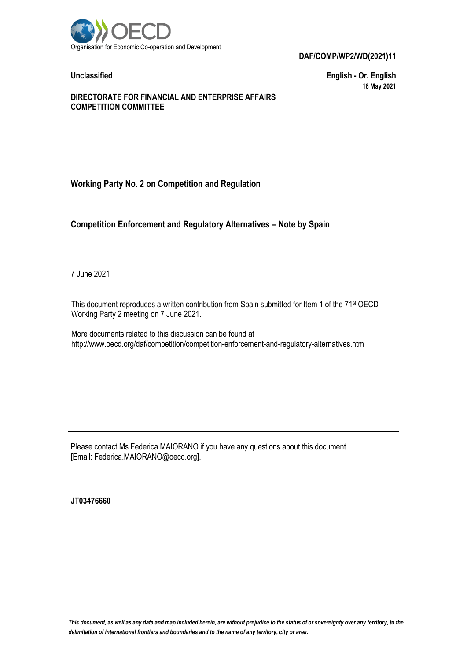

**Unclassified English - Or. English 18 May 2021**

#### **DIRECTORATE FOR FINANCIAL AND ENTERPRISE AFFAIRS COMPETITION COMMITTEE**

## **Working Party No. 2 on Competition and Regulation**

## **Competition Enforcement and Regulatory Alternatives – Note by Spain**

7 June 2021

This document reproduces a written contribution from Spain submitted for Item 1 of the 71<sup>st</sup> OECD Working Party 2 meeting on 7 June 2021.

More documents related to this discussion can be found at http://www.oecd.org/daf/competition/competition-enforcement-and-regulatory-alternatives.htm

Please contact Ms Federica MAIORANO if you have any questions about this document [Email: Federica.MAIORANO@oecd.org].

**JT03476660**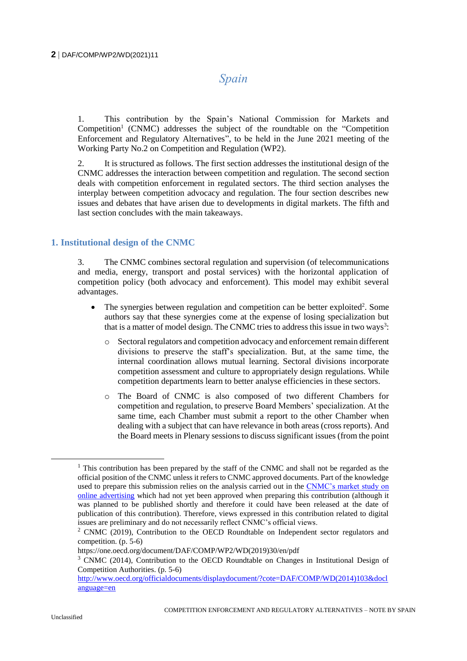# *Spain*

1. This contribution by the Spain's National Commission for Markets and Competition<sup>1</sup> (CNMC) addresses the subject of the roundtable on the "Competition Enforcement and Regulatory Alternatives", to be held in the June 2021 meeting of the Working Party No.2 on Competition and Regulation (WP2).

2. It is structured as follows. The first section addresses the institutional design of the CNMC addresses the interaction between competition and regulation. The second section deals with competition enforcement in regulated sectors. The third section analyses the interplay between competition advocacy and regulation. The four section describes new issues and debates that have arisen due to developments in digital markets. The fifth and last section concludes with the main takeaways.

## **1. Institutional design of the CNMC**

3. The CNMC combines sectoral regulation and supervision (of telecommunications and media, energy, transport and postal services) with the horizontal application of competition policy (both advocacy and enforcement). This model may exhibit several advantages.

- The synergies between regulation and competition can be better exploited<sup>2</sup>. Some authors say that these synergies come at the expense of losing specialization but that is a matter of model design. The CNMC tries to address this issue in two ways<sup>3</sup>:
	- o Sectoral regulators and competition advocacy and enforcement remain different divisions to preserve the staff's specialization. But, at the same time, the internal coordination allows mutual learning. Sectoral divisions incorporate competition assessment and culture to appropriately design regulations. While competition departments learn to better analyse efficiencies in these sectors.
	- o The Board of CNMC is also composed of two different Chambers for competition and regulation, to preserve Board Members' specialization. At the same time, each Chamber must submit a report to the other Chamber when dealing with a subject that can have relevance in both areas (cross reports). And the Board meets in Plenary sessions to discuss significant issues (from the point

<sup>&</sup>lt;sup>1</sup> This contribution has been prepared by the staff of the CNMC and shall not be regarded as the official position of the CNMC unless it refers to CNMC approved documents. Part of the knowledge used to prepare this submission relies on the analysis carried out in the [CNMC's market study on](https://www.cnmc.es/sites/default/files/editor_contenidos/Notas%20de%20prensa/2019/20190425_NP%20Inicio%20Estudio%20Publicidad%20Online_EN.pdf)  [online advertising](https://www.cnmc.es/sites/default/files/editor_contenidos/Notas%20de%20prensa/2019/20190425_NP%20Inicio%20Estudio%20Publicidad%20Online_EN.pdf) which had not yet been approved when preparing this contribution (although it was planned to be published shortly and therefore it could have been released at the date of publication of this contribution). Therefore, views expressed in this contribution related to digital issues are preliminary and do not necessarily reflect CNMC's official views.

 $2$  CNMC (2019), Contribution to the OECD Roundtable on Independent sector regulators and competition. (p. 5-6)

https://one.oecd.org/document/DAF/COMP/WP2/WD(2019)30/en/pdf

<sup>&</sup>lt;sup>3</sup> CNMC (2014), Contribution to the OECD Roundtable on Changes in Institutional Design of Competition Authorities. (p. 5-6)

[http://www.oecd.org/officialdocuments/displaydocument/?cote=DAF/COMP/WD\(2014\)103&docl](http://www.oecd.org/officialdocuments/displaydocument/?cote=DAF/COMP/WD(2014)103&doclanguage=en) [anguage=en](http://www.oecd.org/officialdocuments/displaydocument/?cote=DAF/COMP/WD(2014)103&doclanguage=en)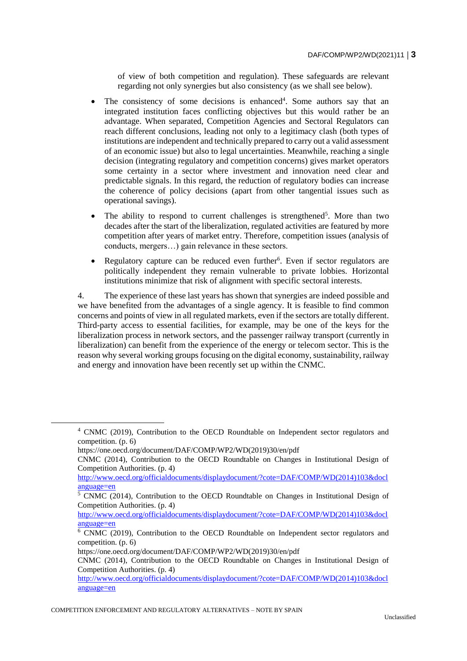of view of both competition and regulation). These safeguards are relevant regarding not only synergies but also consistency (as we shall see below).

- The consistency of some decisions is enhanced<sup>4</sup>. Some authors say that an integrated institution faces conflicting objectives but this would rather be an advantage. When separated, Competition Agencies and Sectoral Regulators can reach different conclusions, leading not only to a legitimacy clash (both types of institutions are independent and technically prepared to carry out a valid assessment of an economic issue) but also to legal uncertainties. Meanwhile, reaching a single decision (integrating regulatory and competition concerns) gives market operators some certainty in a sector where investment and innovation need clear and predictable signals. In this regard, the reduction of regulatory bodies can increase the coherence of policy decisions (apart from other tangential issues such as operational savings).
- The ability to respond to current challenges is strengthened<sup>5</sup>. More than two decades after the start of the liberalization, regulated activities are featured by more competition after years of market entry. Therefore, competition issues (analysis of conducts, mergers…) gain relevance in these sectors.
- Regulatory capture can be reduced even further<sup>6</sup>. Even if sector regulators are politically independent they remain vulnerable to private lobbies. Horizontal institutions minimize that risk of alignment with specific sectoral interests.

4. The experience of these last years has shown that synergies are indeed possible and we have benefited from the advantages of a single agency. It is feasible to find common concerns and points of view in all regulated markets, even if the sectors are totally different. Third-party access to essential facilities, for example, may be one of the keys for the liberalization process in network sectors, and the passenger railway transport (currently in liberalization) can benefit from the experience of the energy or telecom sector. This is the reason why several working groups focusing on the digital economy, sustainability, railway and energy and innovation have been recently set up within the CNMC.

https://one.oecd.org/document/DAF/COMP/WP2/WD(2019)30/en/pdf

[http://www.oecd.org/officialdocuments/displaydocument/?cote=DAF/COMP/WD\(2014\)103&docl](http://www.oecd.org/officialdocuments/displaydocument/?cote=DAF/COMP/WD(2014)103&doclanguage=en) [anguage=en](http://www.oecd.org/officialdocuments/displaydocument/?cote=DAF/COMP/WD(2014)103&doclanguage=en)

<sup>4</sup> CNMC (2019), Contribution to the OECD Roundtable on Independent sector regulators and competition. (p. 6)

CNMC (2014), Contribution to the OECD Roundtable on Changes in Institutional Design of Competition Authorities. (p. 4)

[http://www.oecd.org/officialdocuments/displaydocument/?cote=DAF/COMP/WD\(2014\)103&docl](http://www.oecd.org/officialdocuments/displaydocument/?cote=DAF/COMP/WD(2014)103&doclanguage=en) [anguage=en](http://www.oecd.org/officialdocuments/displaydocument/?cote=DAF/COMP/WD(2014)103&doclanguage=en)

<sup>&</sup>lt;sup>5</sup> CNMC (2014), Contribution to the OECD Roundtable on Changes in Institutional Design of Competition Authorities. (p. 4)

 $6$  CNMC (2019), Contribution to the OECD Roundtable on Independent sector regulators and competition. (p. 6)

https://one.oecd.org/document/DAF/COMP/WP2/WD(2019)30/en/pdf

CNMC (2014), Contribution to the OECD Roundtable on Changes in Institutional Design of Competition Authorities. (p. 4)

[http://www.oecd.org/officialdocuments/displaydocument/?cote=DAF/COMP/WD\(2014\)103&docl](http://www.oecd.org/officialdocuments/displaydocument/?cote=DAF/COMP/WD(2014)103&doclanguage=en) [anguage=en](http://www.oecd.org/officialdocuments/displaydocument/?cote=DAF/COMP/WD(2014)103&doclanguage=en)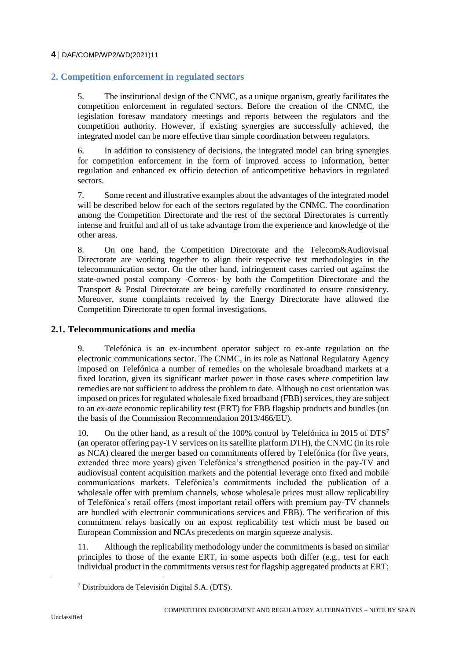## **2. Competition enforcement in regulated sectors**

5. The institutional design of the CNMC, as a unique organism, greatly facilitates the competition enforcement in regulated sectors. Before the creation of the CNMC, the legislation foresaw mandatory meetings and reports between the regulators and the competition authority. However, if existing synergies are successfully achieved, the integrated model can be more effective than simple coordination between regulators.

6. In addition to consistency of decisions, the integrated model can bring synergies for competition enforcement in the form of improved access to information, better regulation and enhanced ex officio detection of anticompetitive behaviors in regulated sectors.

7. Some recent and illustrative examples about the advantages of the integrated model will be described below for each of the sectors regulated by the CNMC. The coordination among the Competition Directorate and the rest of the sectoral Directorates is currently intense and fruitful and all of us take advantage from the experience and knowledge of the other areas.

8. On one hand, the Competition Directorate and the Telecom&Audiovisual Directorate are working together to align their respective test methodologies in the telecommunication sector. On the other hand, infringement cases carried out against the state-owned postal company -Correos- by both the Competition Directorate and the Transport & Postal Directorate are being carefully coordinated to ensure consistency. Moreover, some complaints received by the Energy Directorate have allowed the Competition Directorate to open formal investigations.

## **2.1. Telecommunications and media**

9. Telefónica is an ex-incumbent operator subject to ex-ante regulation on the electronic communications sector. The CNMC, in its role as National Regulatory Agency imposed on Telefónica a number of remedies on the wholesale broadband markets at a fixed location, given its significant market power in those cases where competition law remedies are not sufficient to address the problem to date. Although no cost orientation was imposed on prices for regulated wholesale fixed broadband (FBB) services, they are subject to an *ex-ante* economic replicability test (ERT) for FBB flagship products and bundles (on the basis of the Commission Recommendation 2013/466/EU).

10. On the other hand, as a result of the 100% control by Telefónica in 2015 of DTS<sup>7</sup> (an operator offering pay-TV services on its satellite platform DTH), the CNMC (in its role as NCA) cleared the merger based on commitments offered by Telefónica (for five years, extended three more years) given Telefónica's strengthened position in the pay-TV and audiovisual content acquisition markets and the potential leverage onto fixed and mobile communications markets. Telefónica's commitments included the publication of a wholesale offer with premium channels, whose wholesale prices must allow replicability of Telefónica's retail offers (most important retail offers with premium pay-TV channels are bundled with electronic communications services and FBB). The verification of this commitment relays basically on an expost replicability test which must be based on European Commission and NCAs precedents on margin squeeze analysis.

11. Although the replicability methodology under the commitments is based on similar principles to those of the exante ERT, in some aspects both differ (e.g., test for each individual product in the commitments versus test for flagship aggregated products at ERT;

<sup>7</sup> Distribuidora de Televisión Digital S.A. (DTS).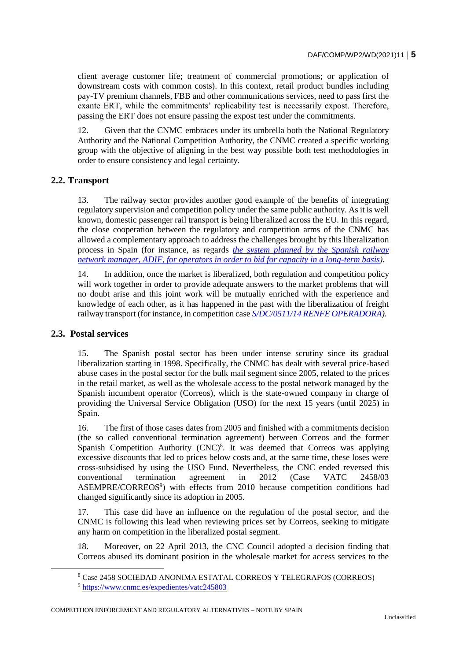client average customer life; treatment of commercial promotions; or application of downstream costs with common costs). In this context, retail product bundles including pay-TV premium channels, FBB and other communications services, need to pass first the exante ERT, while the commitments' replicability test is necessarily expost. Therefore, passing the ERT does not ensure passing the expost test under the commitments.

12. Given that the CNMC embraces under its umbrella both the National Regulatory Authority and the National Competition Authority, the CNMC created a specific working group with the objective of aligning in the best way possible both test methodologies in order to ensure consistency and legal certainty.

## **2.2. Transport**

13. The railway sector provides another good example of the benefits of integrating regulatory supervision and competition policy under the same public authority. As it is well known, domestic passenger rail transport is being liberalized across the EU. In this regard, the close cooperation between the regulatory and competition arms of the CNMC has allowed a complementary approach to address the challenges brought by this liberalization process in Spain (for instance, as regards *[the system planned by the Spanish railway](https://www.cnmc.es/prensa/acuerdo-marco-adif-ilsa-rielsfera-20200407)  [network manager, ADIF, for operators in order to bid for capacity in a long-term basis\)](https://www.cnmc.es/prensa/acuerdo-marco-adif-ilsa-rielsfera-20200407).* 

14. In addition, once the market is liberalized, both regulation and competition policy will work together in order to provide adequate answers to the market problems that will no doubt arise and this joint work will be mutually enriched with the experience and knowledge of each other, as it has happened in the past with the liberalization of freight railway transport (for instance, in competition case *[S/DC/0511/14 RENFE OPERADORA\)](https://www.google.com/url?sa=t&rct=j&q=&esrc=s&source=web&cd=&cad=rja&uact=8&ved=2ahUKEwjD-8LdzIzwAhUTmVwKHUyNA8gQFjAAegQIBRAD&url=https%3A%2F%2Fwww.cnmc.es%2Fsites%2Fdefault%2Ffiles%2Feditor_contenidos%2FNotas%2520de%2520prensa%2F2017%2F20170428_English%2520Summary%2520S-0511-14%2520RENFE.pdf&usg=AOvVaw07Gq9Vi0Unu68CBHpRAXFg).*

## **2.3. Postal services**

15. The Spanish postal sector has been under intense scrutiny since its gradual liberalization starting in 1998. Specifically, the CNMC has dealt with several price-based abuse cases in the postal sector for the bulk mail segment since 2005, related to the prices in the retail market, as well as the wholesale access to the postal network managed by the Spanish incumbent operator (Correos), which is the state-owned company in charge of providing the Universal Service Obligation (USO) for the next 15 years (until 2025) in Spain.

16. The first of those cases dates from 2005 and finished with a commitments decision (the so called conventional termination agreement) between Correos and the former Spanish Competition Authority  $(CNC)^8$ . It was deemed that Correos was applying excessive discounts that led to prices below costs and, at the same time, these loses were cross-subsidised by using the USO Fund. Nevertheless, the CNC ended reversed this conventional termination agreement in 2012 (Case VATC 2458/03 ASEMPRE/CORREOS<sup>9</sup>) with effects from 2010 because competition conditions had changed significantly since its adoption in 2005.

17. This case did have an influence on the regulation of the postal sector, and the CNMC is following this lead when reviewing prices set by Correos, seeking to mitigate any harm on competition in the liberalized postal segment.

18. Moreover, on 22 April 2013, the CNC Council adopted a decision finding that Correos abused its dominant position in the wholesale market for access services to the

COMPETITION ENFORCEMENT AND REGULATORY ALTERNATIVES – NOTE BY SPAIN

<sup>8</sup> Case 2458 SOCIEDAD ANONIMA ESTATAL CORREOS Y TELEGRAFOS (CORREOS)

<sup>&</sup>lt;sup>9</sup> <https://www.cnmc.es/expedientes/vatc245803>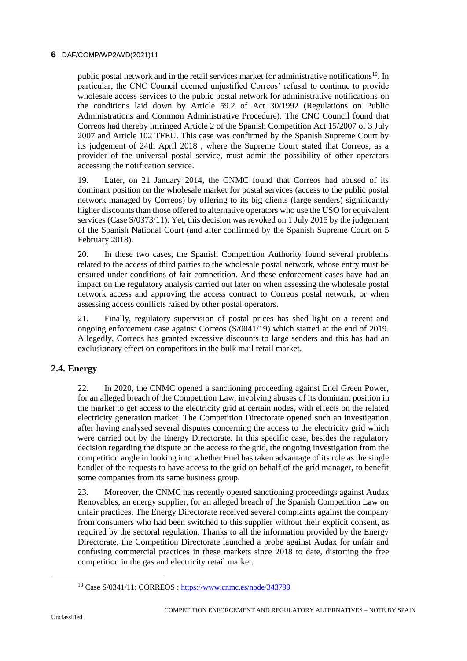public postal network and in the retail services market for administrative notifications<sup>10</sup>. In particular, the CNC Council deemed unjustified Correos' refusal to continue to provide wholesale access services to the public postal network for administrative notifications on the conditions laid down by Article 59.2 of Act 30/1992 (Regulations on Public Administrations and Common Administrative Procedure). The CNC Council found that Correos had thereby infringed Article 2 of the Spanish Competition Act 15/2007 of 3 July 2007 and Article 102 TFEU. This case was confirmed by the Spanish Supreme Court by its judgement of 24th April 2018 , where the Supreme Court stated that Correos, as a provider of the universal postal service, must admit the possibility of other operators accessing the notification service.

19. Later, on 21 January 2014, the CNMC found that Correos had abused of its dominant position on the wholesale market for postal services (access to the public postal network managed by Correos) by offering to its big clients (large senders) significantly higher discounts than those offered to alternative operators who use the USO for equivalent services (Case S/0373/11). Yet, this decision was revoked on 1 July 2015 by the judgement of the Spanish National Court (and after confirmed by the Spanish Supreme Court on 5 February 2018).

20. In these two cases, the Spanish Competition Authority found several problems related to the access of third parties to the wholesale postal network, whose entry must be ensured under conditions of fair competition. And these enforcement cases have had an impact on the regulatory analysis carried out later on when assessing the wholesale postal network access and approving the access contract to Correos postal network, or when assessing access conflicts raised by other postal operators.

21. Finally, regulatory supervision of postal prices has shed light on a recent and ongoing enforcement case against Correos (S/0041/19) which started at the end of 2019. Allegedly, Correos has granted excessive discounts to large senders and this has had an exclusionary effect on competitors in the bulk mail retail market.

## **2.4. Energy**

22. In 2020, the CNMC opened a sanctioning proceeding against Enel Green Power, for an alleged breach of the Competition Law, involving abuses of its dominant position in the market to get access to the electricity grid at certain nodes, with effects on the related electricity generation market. The Competition Directorate opened such an investigation after having analysed several disputes concerning the access to the electricity grid which were carried out by the Energy Directorate. In this specific case, besides the regulatory decision regarding the dispute on the access to the grid, the ongoing investigation from the competition angle in looking into whether Enel has taken advantage of its role as the single handler of the requests to have access to the grid on behalf of the grid manager, to benefit some companies from its same business group.

23. Moreover, the CNMC has recently opened sanctioning proceedings against Audax Renovables, an energy supplier, for an alleged breach of the Spanish Competition Law on unfair practices. The Energy Directorate received several complaints against the company from consumers who had been switched to this supplier without their explicit consent, as required by the sectoral regulation. Thanks to all the information provided by the Energy Directorate, the Competition Directorate launched a probe against Audax for unfair and confusing commercial practices in these markets since 2018 to date, distorting the free competition in the gas and electricity retail market.

<sup>10</sup> Case S/0341/11: CORREOS :<https://www.cnmc.es/node/343799>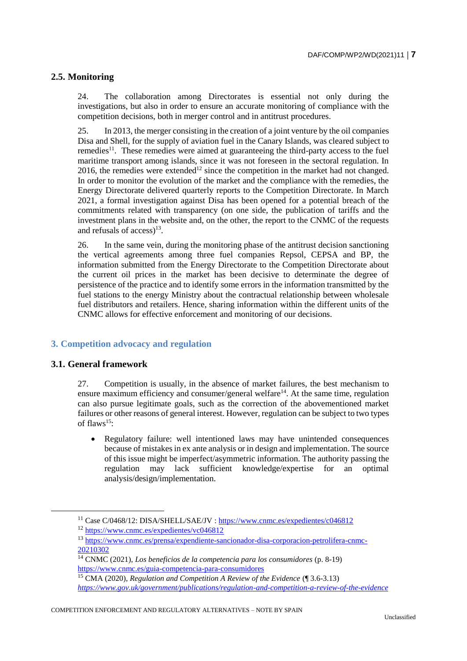## **2.5. Monitoring**

24. The collaboration among Directorates is essential not only during the investigations, but also in order to ensure an accurate monitoring of compliance with the competition decisions, both in merger control and in antitrust procedures.

25. In 2013, the merger consisting in the creation of a joint venture by the oil companies Disa and Shell, for the supply of aviation fuel in the Canary Islands, was cleared subject to remedies<sup>11</sup>. These remedies were aimed at guaranteeing the third-party access to the fuel maritime transport among islands, since it was not foreseen in the sectoral regulation. In  $2016$ , the remedies were extended<sup>12</sup> since the competition in the market had not changed. In order to monitor the evolution of the market and the compliance with the remedies, the Energy Directorate delivered quarterly reports to the Competition Directorate. In March 2021, a formal investigation against Disa has been opened for a potential breach of the commitments related with transparency (on one side, the publication of tariffs and the investment plans in the website and, on the other, the report to the CNMC of the requests and refusals of access)<sup>13</sup>.

26. In the same vein, during the monitoring phase of the antitrust decision sanctioning the vertical agreements among three fuel companies Repsol, CEPSA and BP, the information submitted from the Energy Directorate to the Competition Directorate about the current oil prices in the market has been decisive to determinate the degree of persistence of the practice and to identify some errors in the information transmitted by the fuel stations to the energy Ministry about the contractual relationship between wholesale fuel distributors and retailers. Hence, sharing information within the different units of the CNMC allows for effective enforcement and monitoring of our decisions.

## **3. Competition advocacy and regulation**

## **3.1. General framework**

 $\overline{a}$ 

27. Competition is usually, in the absence of market failures, the best mechanism to ensure maximum efficiency and consumer/general welfare<sup>14</sup>. At the same time, regulation can also pursue legitimate goals, such as the correction of the abovementioned market failures or other reasons of general interest. However, regulation can be subject to two types of flaws<sup>15</sup>:

 Regulatory failure: well intentioned laws may have unintended consequences because of mistakes in ex ante analysis or in design and implementation. The source of this issue might be imperfect/asymmetric information. The authority passing the regulation may lack sufficient knowledge/expertise for an optimal analysis/design/implementation.

<sup>11</sup> Case C/0468/12: DISA/SHELL/SAE/JV [: https://www.cnmc.es/expedientes/c046812](https://www.cnmc.es/expedientes/c046812)

<sup>12</sup> <https://www.cnmc.es/expedientes/vc046812>

<sup>13</sup> [https://www.cnmc.es/prensa/expendiente-sancionador-disa-corporacion-petrolifera-cnmc-](https://www.cnmc.es/prensa/expendiente-sancionador-disa-corporacion-petrolifera-cnmc-20210302)[20210302](https://www.cnmc.es/prensa/expendiente-sancionador-disa-corporacion-petrolifera-cnmc-20210302)

<sup>14</sup> CNMC (2021), *Los beneficios de la competencia para los consumidores* (p. 8-19) <https://www.cnmc.es/guia-competencia-para-consumidores>

<sup>15</sup> CMA (2020), *Regulation and Competition A Review of the Evidence* (¶ 3.6-3.13) *<https://www.gov.uk/government/publications/regulation-and-competition-a-review-of-the-evidence>*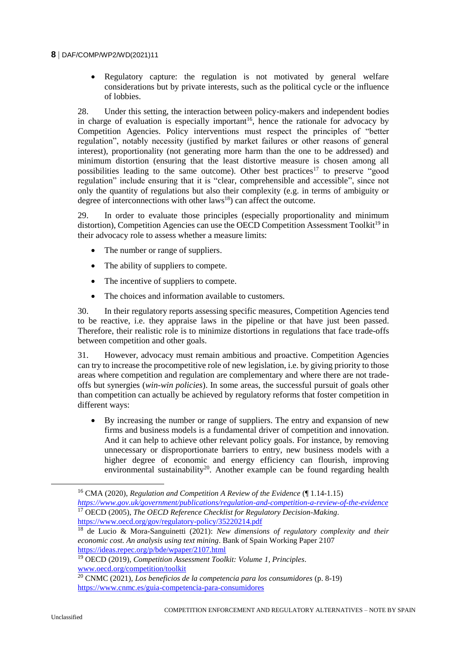Regulatory capture: the regulation is not motivated by general welfare considerations but by private interests, such as the political cycle or the influence of lobbies.

28. Under this setting, the interaction between policy-makers and independent bodies in charge of evaluation is especially important<sup>16</sup>, hence the rationale for advocacy by Competition Agencies. Policy interventions must respect the principles of "better regulation", notably necessity (justified by market failures or other reasons of general interest), proportionality (not generating more harm than the one to be addressed) and minimum distortion (ensuring that the least distortive measure is chosen among all possibilities leading to the same outcome). Other best practices<sup>17</sup> to preserve "good regulation" include ensuring that it is "clear, comprehensible and accessible", since not only the quantity of regulations but also their complexity (e.g. in terms of ambiguity or degree of interconnections with other  $laws<sup>18</sup>$  can affect the outcome.

29. In order to evaluate those principles (especially proportionality and minimum distortion), Competition Agencies can use the OECD Competition Assessment Toolkit<sup>19</sup> in their advocacy role to assess whether a measure limits:

- The number or range of suppliers.
- The ability of suppliers to compete.
- The incentive of suppliers to compete.
- The choices and information available to customers.

30. In their regulatory reports assessing specific measures, Competition Agencies tend to be reactive, i.e. they appraise laws in the pipeline or that have just been passed. Therefore, their realistic role is to minimize distortions in regulations that face trade-offs between competition and other goals.

31. However, advocacy must remain ambitious and proactive. Competition Agencies can try to increase the procompetitive role of new legislation, i.e. by giving priority to those areas where competition and regulation are complementary and where there are not tradeoffs but synergies (*win-win policies*). In some areas, the successful pursuit of goals other than competition can actually be achieved by regulatory reforms that foster competition in different ways:

 By increasing the number or range of suppliers. The entry and expansion of new firms and business models is a fundamental driver of competition and innovation. And it can help to achieve other relevant policy goals. For instance, by removing unnecessary or disproportionate barriers to entry, new business models with a higher degree of economic and energy efficiency can flourish, improving environmental sustainability<sup>20</sup>. Another example can be found regarding health

<sup>16</sup> CMA (2020), *Regulation and Competition A Review of the Evidence* (¶ 1.14-1.15) *<https://www.gov.uk/government/publications/regulation-and-competition-a-review-of-the-evidence>* <sup>17</sup> OECD (2005), *The OECD Reference Checklist for Regulatory Decision-Making*. <https://www.oecd.org/gov/regulatory-policy/35220214.pdf>

<sup>18</sup> de Lucio & Mora-Sanguinetti (2021): *New dimensions of regulatory complexity and their economic cost. An analysis using text mining*. Bank of Spain Working Paper 2107 <https://ideas.repec.org/p/bde/wpaper/2107.html>

<sup>19</sup> OECD (2019), *Competition Assessment Toolkit: Volume 1, Principles*. [www.oecd.org/competition/toolkit](http://www.oecd.org/competition/toolkit)

<sup>20</sup> CNMC (2021), *Los beneficios de la competencia para los consumidores* (p. 8-19) <https://www.cnmc.es/guia-competencia-para-consumidores>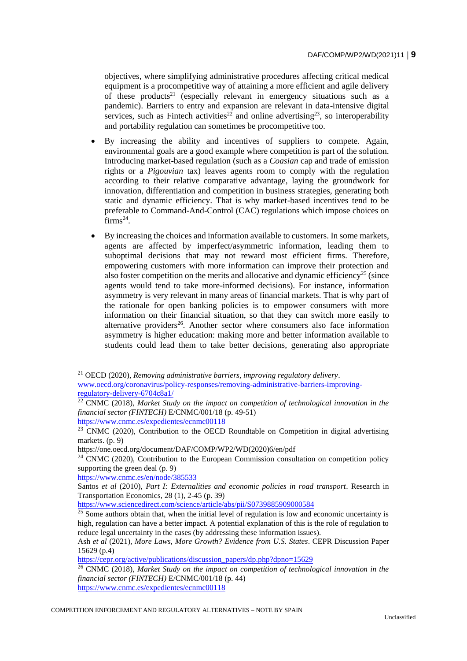objectives, where simplifying administrative procedures affecting critical medical equipment is a procompetitive way of attaining a more efficient and agile delivery of these products<sup>21</sup> (especially relevant in emergency situations such as a pandemic). Barriers to entry and expansion are relevant in data-intensive digital services, such as Fintech activities<sup>22</sup> and online advertising<sup>23</sup>, so interoperability and portability regulation can sometimes be procompetitive too.

- By increasing the ability and incentives of suppliers to compete. Again, environmental goals are a good example where competition is part of the solution. Introducing market-based regulation (such as a *Coasian* cap and trade of emission rights or a *Pigouvian* tax) leaves agents room to comply with the regulation according to their relative comparative advantage, laying the groundwork for innovation, differentiation and competition in business strategies, generating both static and dynamic efficiency. That is why market-based incentives tend to be preferable to Command-And-Control (CAC) regulations which impose choices on  $firms^{24}$ .
- By increasing the choices and information available to customers. In some markets, agents are affected by imperfect/asymmetric information, leading them to suboptimal decisions that may not reward most efficient firms. Therefore, empowering customers with more information can improve their protection and also foster competition on the merits and allocative and dynamic efficiency<sup>25</sup> (since agents would tend to take more-informed decisions). For instance, information asymmetry is very relevant in many areas of financial markets. That is why part of the rationale for open banking policies is to empower consumers with more information on their financial situation, so that they can switch more easily to alternative providers<sup>26</sup>. Another sector where consumers also face information asymmetry is higher education: making more and better information available to students could lead them to take better decisions, generating also appropriate

https://one.oecd.org/document/DAF/COMP/WP2/WD(2020)6/en/pdf

<https://www.sciencedirect.com/science/article/abs/pii/S0739885909000584>

<https://www.cnmc.es/expedientes/ecnmc00118>

<sup>21</sup> OECD (2020), *Removing administrative barriers, improving regulatory delivery*. [www.oecd.org/coronavirus/policy-responses/removing-administrative-barriers-improving](http://www.oecd.org/coronavirus/policy-responses/removing-administrative-barriers-improving-regulatory-delivery-6704c8a1/)[regulatory-delivery-6704c8a1/](http://www.oecd.org/coronavirus/policy-responses/removing-administrative-barriers-improving-regulatory-delivery-6704c8a1/)

<sup>&</sup>lt;sup>22</sup> CNMC (2018). Market Study on the impact on competition of technological innovation in the *financial sector (FINTECH)* E/CNMC/001/18 (p. 49-51)

<https://www.cnmc.es/expedientes/ecnmc00118>

 $23$  CNMC (2020), Contribution to the OECD Roundtable on Competition in digital advertising markets. (p. 9)

 $24$  CNMC (2020), Contribution to the European Commission consultation on competition policy supporting the green deal (p. 9)

<https://www.cnmc.es/en/node/385533>

Santos *et al* (2010), *Part I: Externalities and economic policies in road transport*. Research in Transportation Economics, 28 (1), 2-45 (p. 39)

 $\frac{25}{25}$  Some authors obtain that, when the initial level of regulation is low and economic uncertainty is high, regulation can have a better impact. A potential explanation of this is the role of regulation to reduce legal uncertainty in the cases (by addressing these information issues).

Ash *et al* (2021), *More Laws, More Growth? Evidence from U.S. States*. CEPR Discussion Paper 15629 (p.4)

[https://cepr.org/active/publications/discussion\\_papers/dp.php?dpno=15629](https://cepr.org/active/publications/discussion_papers/dp.php?dpno=15629)

<sup>26</sup> CNMC (2018), *Market Study on the impact on competition of technological innovation in the financial sector (FINTECH)* E/CNMC/001/18 (p. 44)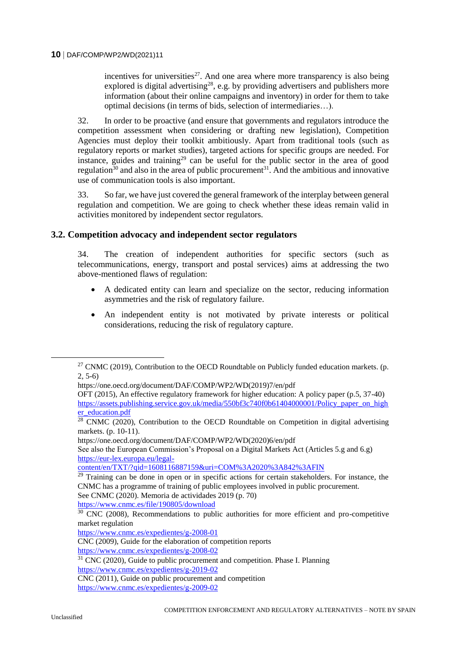incentives for universities<sup>27</sup>. And one area where more transparency is also being explored is digital advertising<sup>28</sup>, e.g. by providing advertisers and publishers more information (about their online campaigns and inventory) in order for them to take optimal decisions (in terms of bids, selection of intermediaries…).

32. In order to be proactive (and ensure that governments and regulators introduce the competition assessment when considering or drafting new legislation), Competition Agencies must deploy their toolkit ambitiously. Apart from traditional tools (such as regulatory reports or market studies), targeted actions for specific groups are needed. For instance, guides and training<sup>29</sup> can be useful for the public sector in the area of good regulation<sup>30</sup> and also in the area of public procurement<sup>31</sup>. And the ambitious and innovative use of communication tools is also important.

33. So far, we have just covered the general framework of the interplay between general regulation and competition. We are going to check whether these ideas remain valid in activities monitored by independent sector regulators.

#### **3.2. Competition advocacy and independent sector regulators**

34. The creation of independent authorities for specific sectors (such as telecommunications, energy, transport and postal services) aims at addressing the two above-mentioned flaws of regulation:

- A dedicated entity can learn and specialize on the sector, reducing information asymmetries and the risk of regulatory failure.
- An independent entity is not motivated by private interests or political considerations, reducing the risk of regulatory capture.

https://one.oecd.org/document/DAF/COMP/WP2/WD(2020)6/en/pdf

See also the European Commission's Proposal on a Digital Markets Act (Articles 5.g and 6.g) [https://eur-lex.europa.eu/legal-](https://eur-lex.europa.eu/legal-content/en/TXT/?qid=1608116887159&uri=COM%3A2020%3A842%3AFIN)

<https://www.cnmc.es/file/190805/download>

<sup>&</sup>lt;sup>27</sup> CNMC (2019), Contribution to the OECD Roundtable on Publicly funded education markets. (p. 2, 5-6)

https://one.oecd.org/document/DAF/COMP/WP2/WD(2019)7/en/pdf

OFT (2015), An effective regulatory framework for higher education: A policy paper (p.5, 37-40) https://assets.publishing.service.gov.uk/media/550bf3c740f0b61404000001/Policy paper on high [er\\_education.pdf](https://assets.publishing.service.gov.uk/media/550bf3c740f0b61404000001/Policy_paper_on_higher_education.pdf)

 $28$  CNMC (2020), Contribution to the OECD Roundtable on Competition in digital advertising markets. (p. 10-11).

[content/en/TXT/?qid=1608116887159&uri=COM%3A2020%3A842%3AFIN](https://eur-lex.europa.eu/legal-content/en/TXT/?qid=1608116887159&uri=COM%3A2020%3A842%3AFIN)

<sup>&</sup>lt;sup>29</sup> Training can be done in open or in specific actions for certain stakeholders. For instance, the CNMC has a programme of training of public employees involved in public procurement. See CNMC (2020). Memoria de actividades 2019 (p. 70)

 $30$  CNC (2008), Recommendations to public authorities for more efficient and pro-competitive market regulation

<https://www.cnmc.es/expedientes/g-2008-01>

CNC (2009), Guide for the elaboration of competition reports

<https://www.cnmc.es/expedientes/g-2008-02>

 $31$  CNC (2020), Guide to public procurement and competition. Phase I. Planning

<https://www.cnmc.es/expedientes/g-2019-02>

CNC (2011), Guide on public procurement and competition

<https://www.cnmc.es/expedientes/g-2009-02>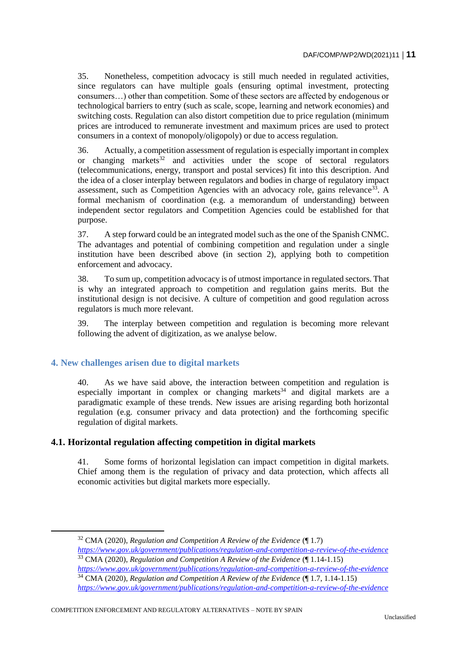35. Nonetheless, competition advocacy is still much needed in regulated activities, since regulators can have multiple goals (ensuring optimal investment, protecting consumers…) other than competition. Some of these sectors are affected by endogenous or technological barriers to entry (such as scale, scope, learning and network economies) and switching costs. Regulation can also distort competition due to price regulation (minimum prices are introduced to remunerate investment and maximum prices are used to protect consumers in a context of monopoly/oligopoly) or due to access regulation.

36. Actually, a competition assessment of regulation is especially important in complex or changing markets<sup>32</sup> and activities under the scope of sectoral regulators (telecommunications, energy, transport and postal services) fit into this description. And the idea of a closer interplay between regulators and bodies in charge of regulatory impact assessment, such as Competition Agencies with an advocacy role, gains relevance<sup>33</sup>. A formal mechanism of coordination (e.g. a memorandum of understanding) between independent sector regulators and Competition Agencies could be established for that purpose.

37. A step forward could be an integrated model such as the one of the Spanish CNMC. The advantages and potential of combining competition and regulation under a single institution have been described above (in section 2), applying both to competition enforcement and advocacy.

38. To sum up, competition advocacy is of utmost importance in regulated sectors. That is why an integrated approach to competition and regulation gains merits. But the institutional design is not decisive. A culture of competition and good regulation across regulators is much more relevant.

39. The interplay between competition and regulation is becoming more relevant following the advent of digitization, as we analyse below.

## **4. New challenges arisen due to digital markets**

 $\overline{a}$ 

40. As we have said above, the interaction between competition and regulation is especially important in complex or changing markets<sup>34</sup> and digital markets are a paradigmatic example of these trends. New issues are arising regarding both horizontal regulation (e.g. consumer privacy and data protection) and the forthcoming specific regulation of digital markets.

## **4.1. Horizontal regulation affecting competition in digital markets**

41. Some forms of horizontal legislation can impact competition in digital markets. Chief among them is the regulation of privacy and data protection, which affects all economic activities but digital markets more especially.

<sup>32</sup> CMA (2020), *Regulation and Competition A Review of the Evidence* (¶ 1.7)

*<https://www.gov.uk/government/publications/regulation-and-competition-a-review-of-the-evidence>* <sup>33</sup> CMA (2020), *Regulation and Competition A Review of the Evidence* (¶ 1.14-1.15)

*<https://www.gov.uk/government/publications/regulation-and-competition-a-review-of-the-evidence>* <sup>34</sup> CMA (2020), *Regulation and Competition A Review of the Evidence* (¶ 1.7, 1.14-1.15)

*<https://www.gov.uk/government/publications/regulation-and-competition-a-review-of-the-evidence>*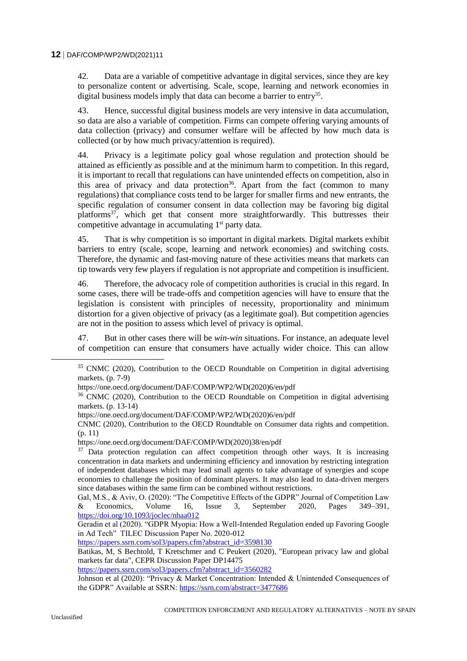42. Data are a variable of competitive advantage in digital services, since they are key to personalize content or advertising. Scale, scope, learning and network economies in digital business models imply that data can become a barrier to entry<sup>35</sup>.

43. Hence, successful digital business models are very intensive in data accumulation, so data are also a variable of competition. Firms can compete offering varying amounts of data collection (privacy) and consumer welfare will be affected by how much data is collected (or by how much privacy/attention is required).

44. Privacy is a legitimate policy goal whose regulation and protection should be attained as efficiently as possible and at the minimum harm to competition. In this regard, it is important to recall that regulations can have unintended effects on competition, also in this area of privacy and data protection<sup>36</sup>. Apart from the fact (common to many regulations) that compliance costs tend to be larger for smaller firms and new entrants, the specific regulation of consumer consent in data collection may be favoring big digital platforms<sup>37</sup>, which get that consent more straightforwardly. This buttresses their competitive advantage in accumulating 1<sup>st</sup> party data.

45. That is why competition is so important in digital markets. Digital markets exhibit barriers to entry (scale, scope, learning and network economies) and switching costs. Therefore, the dynamic and fast-moving nature of these activities means that markets can tip towards very few players if regulation is not appropriate and competition is insufficient.

46. Therefore, the advocacy role of competition authorities is crucial in this regard. In some cases, there will be trade-offs and competition agencies will have to ensure that the legislation is consistent with principles of necessity, proportionality and minimum distortion for a given objective of privacy (as a legitimate goal). But competition agencies are not in the position to assess which level of privacy is optimal.

47. But in other cases there will be *win-win* situations. For instance, an adequate level of competition can ensure that consumers have actually wider choice. This can allow

[https://papers.ssrn.com/sol3/papers.cfm?abstract\\_id=3598130](https://papers.ssrn.com/sol3/papers.cfm?abstract_id=3598130)

[https://papers.ssrn.com/sol3/papers.cfm?abstract\\_id=3560282](https://papers.ssrn.com/sol3/papers.cfm?abstract_id=3560282)

 $\overline{a}$ 

<sup>&</sup>lt;sup>35</sup> CNMC (2020), Contribution to the OECD Roundtable on Competition in digital advertising markets. (p. 7-9)

https://one.oecd.org/document/DAF/COMP/WP2/WD(2020)6/en/pdf

<sup>&</sup>lt;sup>36</sup> CNMC (2020), Contribution to the OECD Roundtable on Competition in digital advertising markets. (p. 13-14)

https://one.oecd.org/document/DAF/COMP/WP2/WD(2020)6/en/pdf

CNMC (2020), Contribution to the OECD Roundtable on Consumer data rights and competition. (p. 11)

https://one.oecd.org/document/DAF/COMP/WD(2020)38/en/pdf

 $37$  Data protection regulation can affect competition through other ways. It is increasing concentration in data markets and undermining efficiency and innovation by restricting integration of independent databases which may lead small agents to take advantage of synergies and scope economies to challenge the position of dominant players. It may also lead to data-driven mergers since databases within the same firm can be combined without restrictions.

Gal, M.S., & Aviv, O. (2020): "The Competitive Effects of the GDPR" Journal of Competition Law & Economics, Volume 16, Issue 3, September 2020, Pages 349–391, <https://doi.org/10.1093/joclec/nhaa012>

Geradin et al (2020). "GDPR Myopia: How a Well-Intended Regulation ended up Favoring Google in Ad Tech" TILEC Discussion Paper No. 2020-012

Batikas, M, S Bechtold, T Kretschmer and C Peukert (2020), "European privacy law and global markets far data", CEPR Discussion Paper DP14475

Johnson et al (2020): "Privacy & Market Concentration: Intended & Unintended Consequences of the GDPR" Available at SSRN:<https://ssrn.com/abstract=3477686>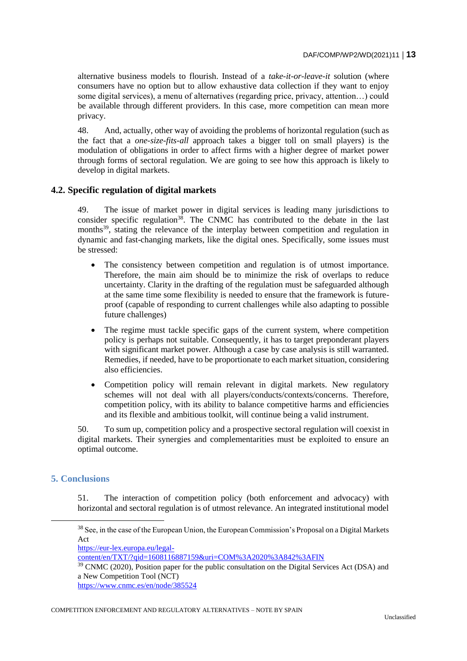alternative business models to flourish. Instead of a *take-it-or-leave-it* solution (where consumers have no option but to allow exhaustive data collection if they want to enjoy some digital services), a menu of alternatives (regarding price, privacy, attention…) could be available through different providers. In this case, more competition can mean more privacy.

48. And, actually, other way of avoiding the problems of horizontal regulation (such as the fact that a *one-size-fits-all* approach takes a bigger toll on small players) is the modulation of obligations in order to affect firms with a higher degree of market power through forms of sectoral regulation. We are going to see how this approach is likely to develop in digital markets.

## **4.2. Specific regulation of digital markets**

49. The issue of market power in digital services is leading many jurisdictions to consider specific regulation<sup>38</sup>. The CNMC has contributed to the debate in the last months<sup>39</sup>, stating the relevance of the interplay between competition and regulation in dynamic and fast-changing markets, like the digital ones. Specifically, some issues must be stressed:

- The consistency between competition and regulation is of utmost importance. Therefore, the main aim should be to minimize the risk of overlaps to reduce uncertainty. Clarity in the drafting of the regulation must be safeguarded although at the same time some flexibility is needed to ensure that the framework is futureproof (capable of responding to current challenges while also adapting to possible future challenges)
- The regime must tackle specific gaps of the current system, where competition policy is perhaps not suitable. Consequently, it has to target preponderant players with significant market power. Although a case by case analysis is still warranted. Remedies, if needed, have to be proportionate to each market situation, considering also efficiencies.
- Competition policy will remain relevant in digital markets. New regulatory schemes will not deal with all players/conducts/contexts/concerns. Therefore, competition policy, with its ability to balance competitive harms and efficiencies and its flexible and ambitious toolkit, will continue being a valid instrument.

50. To sum up, competition policy and a prospective sectoral regulation will coexist in digital markets. Their synergies and complementarities must be exploited to ensure an optimal outcome.

## **5. Conclusions**

51. The interaction of competition policy (both enforcement and advocacy) with horizontal and sectoral regulation is of utmost relevance. An integrated institutional model

<sup>&</sup>lt;sup>38</sup> See, in the case of the European Union, the European Commission's Proposal on a Digital Markets Act

[https://eur-lex.europa.eu/legal-](https://eur-lex.europa.eu/legal-content/en/TXT/?qid=1608116887159&uri=COM%3A2020%3A842%3AFIN)

[content/en/TXT/?qid=1608116887159&uri=COM%3A2020%3A842%3AFIN](https://eur-lex.europa.eu/legal-content/en/TXT/?qid=1608116887159&uri=COM%3A2020%3A842%3AFIN)

 $39$  CNMC (2020), Position paper for the public consultation on the Digital Services Act (DSA) and a New Competition Tool (NCT)

<https://www.cnmc.es/en/node/385524>